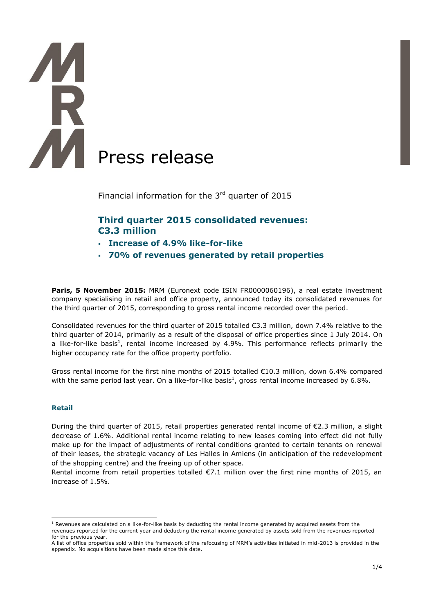# Press release

Financial information for the  $3<sup>rd</sup>$  quarter of 2015

# **Third quarter 2015 consolidated revenues: €3.3 million**

- **Increase of 4.9% like-for-like**
- **70% of revenues generated by retail properties**

Paris, 5 November 2015: MRM (Euronext code ISIN FR0000060196), a real estate investment company specialising in retail and office property, announced today its consolidated revenues for the third quarter of 2015, corresponding to gross rental income recorded over the period.

Consolidated revenues for the third quarter of 2015 totalled €3.3 million, down 7.4% relative to the third quarter of 2014, primarily as a result of the disposal of office properties since 1 July 2014. On a like-for-like basis<sup>1</sup>, rental income increased by 4.9%. This performance reflects primarily the higher occupancy rate for the office property portfolio.

Gross rental income for the first nine months of 2015 totalled €10.3 million, down 6.4% compared with the same period last year. On a like-for-like basis<sup>1</sup>, gross rental income increased by 6.8%.

## **Retail**

<u>.</u>

During the third quarter of 2015, retail properties generated rental income of  $\epsilon$ 2.3 million, a slight decrease of 1.6%. Additional rental income relating to new leases coming into effect did not fully make up for the impact of adjustments of rental conditions granted to certain tenants on renewal of their leases, the strategic vacancy of Les Halles in Amiens (in anticipation of the redevelopment of the shopping centre) and the freeing up of other space.

Rental income from retail properties totalled  $\epsilon$ 7.1 million over the first nine months of 2015, an increase of 1.5%.

 $1$  Revenues are calculated on a like-for-like basis by deducting the rental income generated by acquired assets from the revenues reported for the current year and deducting the rental income generated by assets sold from the revenues reported for the previous year.

A list of office properties sold within the framework of the refocusing of MRM's activities initiated in mid-2013 is provided in the appendix. No acquisitions have been made since this date.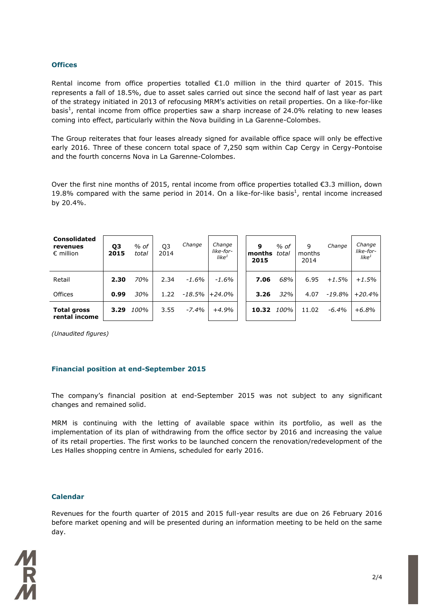### **Offices**

Rental income from office properties totalled  $\epsilon$ 1.0 million in the third quarter of 2015. This represents a fall of 18.5%, due to asset sales carried out since the second half of last year as part of the strategy initiated in 2013 of refocusing MRM's activities on retail properties. On a like-for-like basis<sup>1</sup>, rental income from office properties saw a sharp increase of 24.0% relating to new leases coming into effect, particularly within the Nova building in La Garenne-Colombes.

The Group reiterates that four leases already signed for available office space will only be effective early 2016. Three of these concern total space of 7,250 sqm within Cap Cergy in Cergy-Pontoise and the fourth concerns Nova in La Garenne-Colombes.

Over the first nine months of 2015, rental income from office properties totalled €3.3 million, down 19.8% compared with the same period in 2014. On a like-for-like basis<sup>1</sup>, rental income increased by 20.4%.

| <b>Consolidated</b><br>revenues<br>$\epsilon$ million | Q3<br>2015 | $%$ of<br>total | Q <sub>3</sub><br>2014 | Change   | Change<br>like-for-<br>like <sup>1</sup> | 9<br>months<br>2015 | $%$ of<br>total | 9<br>months<br>2014 | Change   | Change<br>like-for-<br>like $^1$ |
|-------------------------------------------------------|------------|-----------------|------------------------|----------|------------------------------------------|---------------------|-----------------|---------------------|----------|----------------------------------|
| Retail                                                | 2.30       | 70%             | 2.34                   | $-1.6\%$ | $-1.6\%$                                 | 7.06                | 68%             | 6.95                | $+1.5%$  | $+1.5%$                          |
| Offices                                               | 0.99       | 30%             | 1.22                   | -18.5%   | $+24.0%$                                 | 3.26                | 32%             | 4.07                | $-19.8%$ | $+20.4%$                         |
| <b>Total gross</b><br>rental income                   | 3.29       | 100%            | 3.55                   | $-7.4%$  | $+4.9%$                                  | 10.32               | 100%            | 11.02               | $-6.4\%$ | $+6.8%$                          |

*(Unaudited figures)*

### **Financial position at end-September 2015**

The company's financial position at end-September 2015 was not subject to any significant changes and remained solid.

MRM is continuing with the letting of available space within its portfolio, as well as the implementation of its plan of withdrawing from the office sector by 2016 and increasing the value of its retail properties. The first works to be launched concern the renovation/redevelopment of the Les Halles shopping centre in Amiens, scheduled for early 2016.

### **Calendar**

Revenues for the fourth quarter of 2015 and 2015 full-year results are due on 26 February 2016 before market opening and will be presented during an information meeting to be held on the same day.

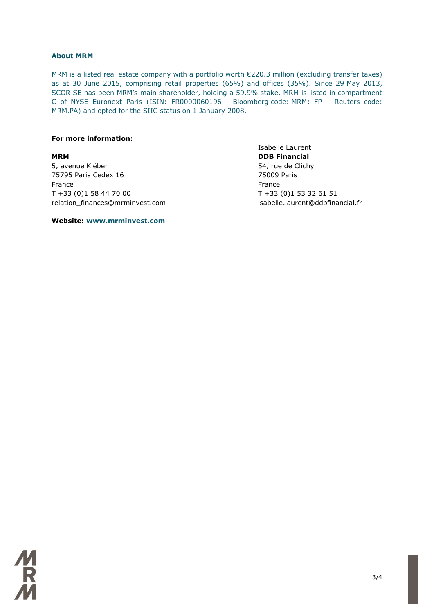### **About MRM**

MRM is a listed real estate company with a portfolio worth €220.3 million (excluding transfer taxes) as at 30 June 2015, comprising retail properties (65%) and offices (35%). Since 29 May 2013, SCOR SE has been MRM's main shareholder, holding a 59.9% stake. MRM is listed in compartment C of NYSE Euronext Paris (ISIN: FR0000060196 - Bloomberg code: MRM: FP – Reuters code: MRM.PA) and opted for the SIIC status on 1 January 2008.

### **For more information:**

5, avenue Kléber 65, avenue Kléber 1999, avenue Kléber 1999, avenue Kléber 1999, avenue Clichy 75795 Paris Cedex 16 75009 Paris France **France France France** T +33 (0)1 58 44 70 00 T +33 (0)1 53 32 61 51 relation\_finances@mrminvest.com isabelle.laurent@ddbfinancial.fr

Isabelle Laurent **MRM DDB Financial**

**Website: www.mrminvest.com**